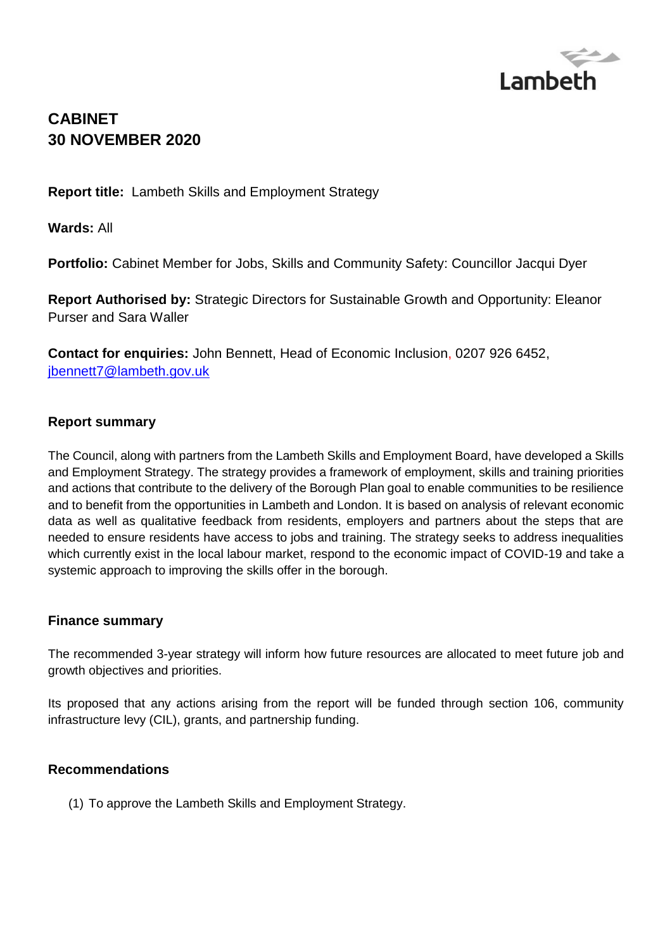

# **CABINET 30 NOVEMBER 2020**

**Report title:** Lambeth Skills and Employment Strategy

**Wards:** All

**Portfolio:** Cabinet Member for Jobs, Skills and Community Safety: Councillor Jacqui Dyer

**Report Authorised by:** Strategic Directors for Sustainable Growth and Opportunity: Eleanor Purser and Sara Waller

**Contact for enquiries:** John Bennett, Head of Economic Inclusion, 0207 926 6452, [jbennett7@lambeth.gov.uk](mailto:jbennett7@lambeth.gov.uk)

### **Report summary**

The Council, along with partners from the Lambeth Skills and Employment Board, have developed a Skills and Employment Strategy. The strategy provides a framework of employment, skills and training priorities and actions that contribute to the delivery of the Borough Plan goal to enable communities to be resilience and to benefit from the opportunities in Lambeth and London. It is based on analysis of relevant economic data as well as qualitative feedback from residents, employers and partners about the steps that are needed to ensure residents have access to jobs and training. The strategy seeks to address inequalities which currently exist in the local labour market, respond to the economic impact of COVID-19 and take a systemic approach to improving the skills offer in the borough.

### **Finance summary**

The recommended 3-year strategy will inform how future resources are allocated to meet future job and growth objectives and priorities.

Its proposed that any actions arising from the report will be funded through section 106, community infrastructure levy (CIL), grants, and partnership funding.

### **Recommendations**

(1) To approve the Lambeth Skills and Employment Strategy.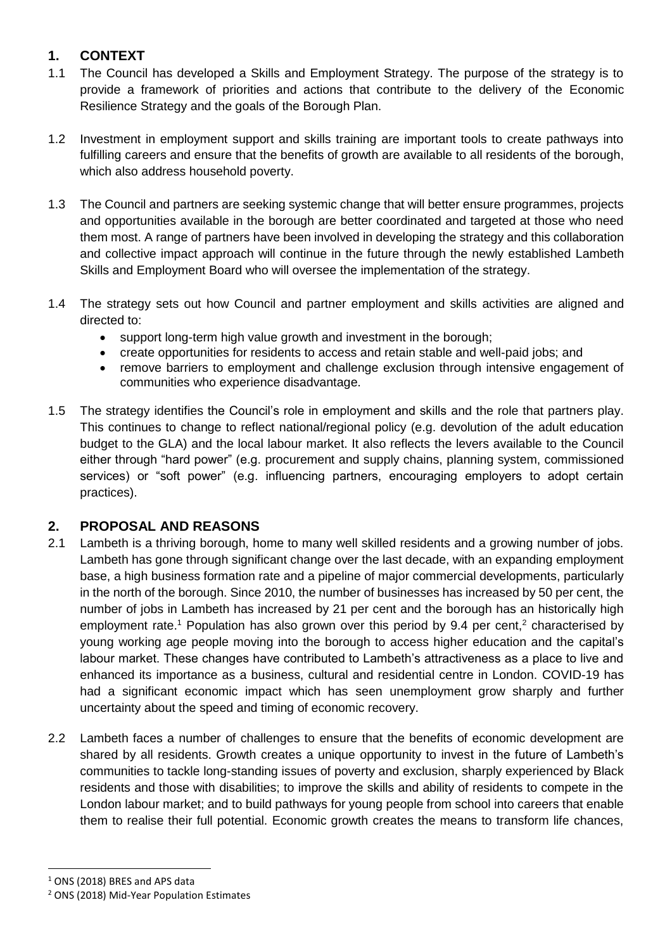### **1. CONTEXT**

- 1.1 The Council has developed a Skills and Employment Strategy. The purpose of the strategy is to provide a framework of priorities and actions that contribute to the delivery of the Economic Resilience Strategy and the goals of the Borough Plan.
- 1.2 Investment in employment support and skills training are important tools to create pathways into fulfilling careers and ensure that the benefits of growth are available to all residents of the borough, which also address household poverty.
- 1.3 The Council and partners are seeking systemic change that will better ensure programmes, projects and opportunities available in the borough are better coordinated and targeted at those who need them most. A range of partners have been involved in developing the strategy and this collaboration and collective impact approach will continue in the future through the newly established Lambeth Skills and Employment Board who will oversee the implementation of the strategy.
- 1.4 The strategy sets out how Council and partner employment and skills activities are aligned and directed to:
	- support long-term high value growth and investment in the borough;
	- create opportunities for residents to access and retain stable and well-paid jobs; and
	- remove barriers to employment and challenge exclusion through intensive engagement of communities who experience disadvantage.
- 1.5 The strategy identifies the Council's role in employment and skills and the role that partners play. This continues to change to reflect national/regional policy (e.g. devolution of the adult education budget to the GLA) and the local labour market. It also reflects the levers available to the Council either through "hard power" (e.g. procurement and supply chains, planning system, commissioned services) or "soft power" (e.g. influencing partners, encouraging employers to adopt certain practices).

### **2. PROPOSAL AND REASONS**

- 2.1 Lambeth is a thriving borough, home to many well skilled residents and a growing number of jobs. Lambeth has gone through significant change over the last decade, with an expanding employment base, a high business formation rate and a pipeline of major commercial developments, particularly in the north of the borough. Since 2010, the number of businesses has increased by 50 per cent, the number of jobs in Lambeth has increased by 21 per cent and the borough has an historically high employment rate.<sup>1</sup> Population has also grown over this period by 9.4 per cent,<sup>2</sup> characterised by young working age people moving into the borough to access higher education and the capital's labour market. These changes have contributed to Lambeth's attractiveness as a place to live and enhanced its importance as a business, cultural and residential centre in London. COVID-19 has had a significant economic impact which has seen unemployment grow sharply and further uncertainty about the speed and timing of economic recovery.
- 2.2 Lambeth faces a number of challenges to ensure that the benefits of economic development are shared by all residents. Growth creates a unique opportunity to invest in the future of Lambeth's communities to tackle long-standing issues of poverty and exclusion, sharply experienced by Black residents and those with disabilities; to improve the skills and ability of residents to compete in the London labour market; and to build pathways for young people from school into careers that enable them to realise their full potential. Economic growth creates the means to transform life chances,

<sup>&</sup>lt;sup>1</sup> ONS (2018) BRES and APS data

<sup>2</sup> ONS (2018) Mid-Year Population Estimates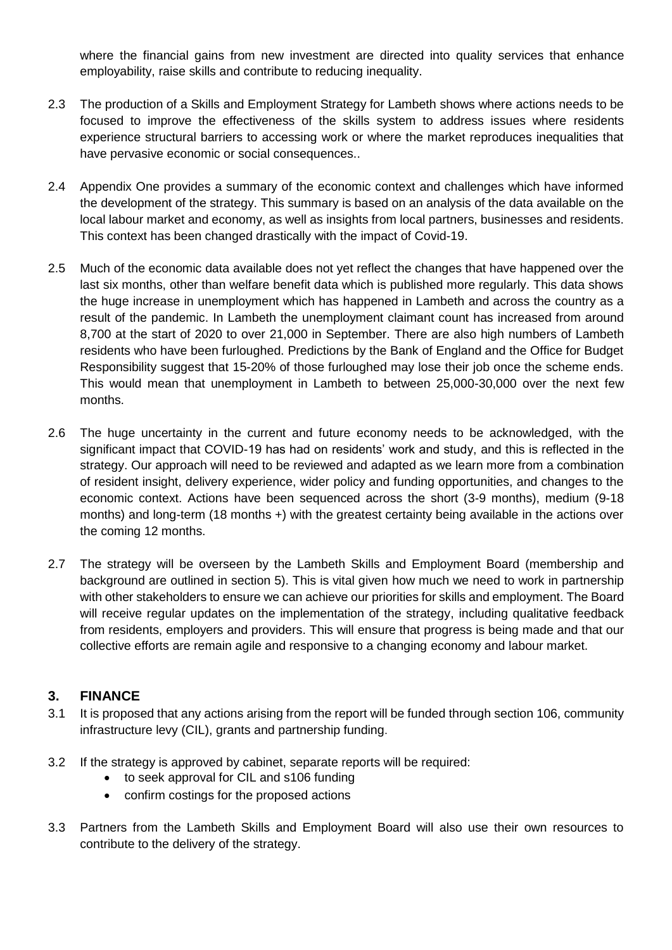where the financial gains from new investment are directed into quality services that enhance employability, raise skills and contribute to reducing inequality.

- 2.3 The production of a Skills and Employment Strategy for Lambeth shows where actions needs to be focused to improve the effectiveness of the skills system to address issues where residents experience structural barriers to accessing work or where the market reproduces inequalities that have pervasive economic or social consequences..
- 2.4 Appendix One provides a summary of the economic context and challenges which have informed the development of the strategy. This summary is based on an analysis of the data available on the local labour market and economy, as well as insights from local partners, businesses and residents. This context has been changed drastically with the impact of Covid-19.
- 2.5 Much of the economic data available does not yet reflect the changes that have happened over the last six months, other than welfare benefit data which is published more regularly. This data shows the huge increase in unemployment which has happened in Lambeth and across the country as a result of the pandemic. In Lambeth the unemployment claimant count has increased from around 8,700 at the start of 2020 to over 21,000 in September. There are also high numbers of Lambeth residents who have been furloughed. Predictions by the Bank of England and the Office for Budget Responsibility suggest that 15-20% of those furloughed may lose their job once the scheme ends. This would mean that unemployment in Lambeth to between 25,000-30,000 over the next few months.
- 2.6 The huge uncertainty in the current and future economy needs to be acknowledged, with the significant impact that COVID-19 has had on residents' work and study, and this is reflected in the strategy. Our approach will need to be reviewed and adapted as we learn more from a combination of resident insight, delivery experience, wider policy and funding opportunities, and changes to the economic context. Actions have been sequenced across the short (3-9 months), medium (9-18 months) and long-term (18 months +) with the greatest certainty being available in the actions over the coming 12 months.
- 2.7 The strategy will be overseen by the Lambeth Skills and Employment Board (membership and background are outlined in section 5). This is vital given how much we need to work in partnership with other stakeholders to ensure we can achieve our priorities for skills and employment. The Board will receive regular updates on the implementation of the strategy, including qualitative feedback from residents, employers and providers. This will ensure that progress is being made and that our collective efforts are remain agile and responsive to a changing economy and labour market.

### **3. FINANCE**

- 3.1 It is proposed that any actions arising from the report will be funded through section 106, community infrastructure levy (CIL), grants and partnership funding.
- 3.2 If the strategy is approved by cabinet, separate reports will be required:
	- to seek approval for CIL and s106 funding
	- confirm costings for the proposed actions
- 3.3 Partners from the Lambeth Skills and Employment Board will also use their own resources to contribute to the delivery of the strategy.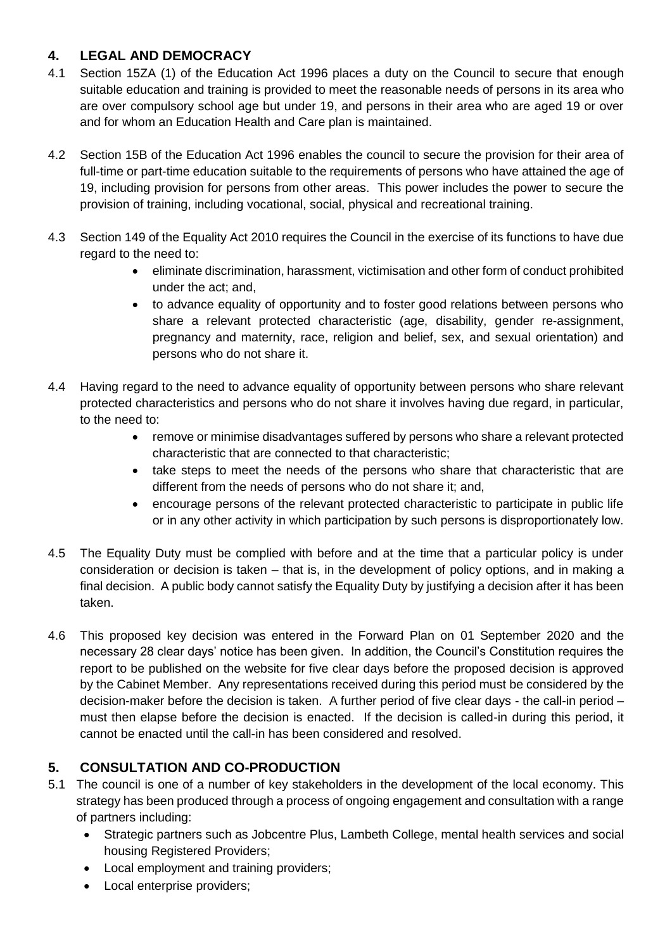# **4. LEGAL AND DEMOCRACY**

- 4.1 Section 15ZA (1) of the Education Act 1996 places a duty on the Council to secure that enough suitable education and training is provided to meet the reasonable needs of persons in its area who are over compulsory school age but under 19, and persons in their area who are aged 19 or over and for whom an Education Health and Care plan is maintained.
- 4.2 Section 15B of the Education Act 1996 enables the council to secure the provision for their area of full-time or part-time education suitable to the requirements of persons who have attained the age of 19, including provision for persons from other areas. This power includes the power to secure the provision of training, including vocational, social, physical and recreational training.
- 4.3 Section 149 of the Equality Act 2010 requires the Council in the exercise of its functions to have due regard to the need to:
	- eliminate discrimination, harassment, victimisation and other form of conduct prohibited under the act; and,
	- to advance equality of opportunity and to foster good relations between persons who share a relevant protected characteristic (age, disability, gender re-assignment, pregnancy and maternity, race, religion and belief, sex, and sexual orientation) and persons who do not share it.
- 4.4 Having regard to the need to advance equality of opportunity between persons who share relevant protected characteristics and persons who do not share it involves having due regard, in particular, to the need to:
	- remove or minimise disadvantages suffered by persons who share a relevant protected characteristic that are connected to that characteristic;
	- take steps to meet the needs of the persons who share that characteristic that are different from the needs of persons who do not share it; and,
	- encourage persons of the relevant protected characteristic to participate in public life or in any other activity in which participation by such persons is disproportionately low.
- 4.5 The Equality Duty must be complied with before and at the time that a particular policy is under consideration or decision is taken – that is, in the development of policy options, and in making a final decision. A public body cannot satisfy the Equality Duty by justifying a decision after it has been taken.
- 4.6 This proposed key decision was entered in the Forward Plan on 01 September 2020 and the necessary 28 clear days' notice has been given. In addition, the Council's Constitution requires the report to be published on the website for five clear days before the proposed decision is approved by the Cabinet Member. Any representations received during this period must be considered by the decision-maker before the decision is taken. A further period of five clear days - the call-in period – must then elapse before the decision is enacted. If the decision is called-in during this period, it cannot be enacted until the call-in has been considered and resolved.

# **5. CONSULTATION AND CO-PRODUCTION**

- 5.1 The council is one of a number of key stakeholders in the development of the local economy. This strategy has been produced through a process of ongoing engagement and consultation with a range of partners including:
	- Strategic partners such as Jobcentre Plus, Lambeth College, mental health services and social housing Registered Providers;
	- Local employment and training providers;
	- Local enterprise providers;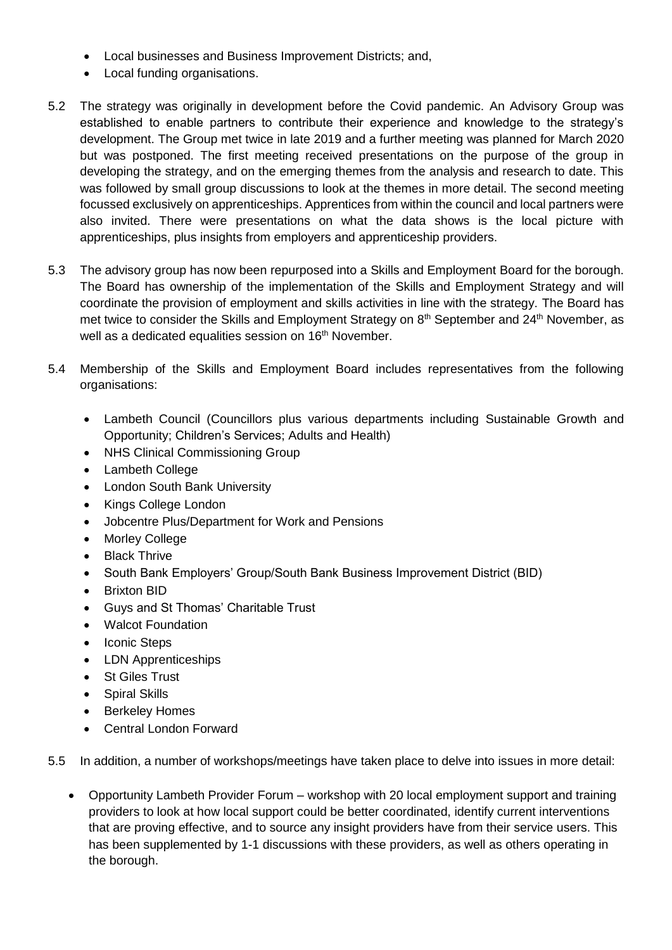- Local businesses and Business Improvement Districts; and,
- Local funding organisations.
- 5.2 The strategy was originally in development before the Covid pandemic. An Advisory Group was established to enable partners to contribute their experience and knowledge to the strategy's development. The Group met twice in late 2019 and a further meeting was planned for March 2020 but was postponed. The first meeting received presentations on the purpose of the group in developing the strategy, and on the emerging themes from the analysis and research to date. This was followed by small group discussions to look at the themes in more detail. The second meeting focussed exclusively on apprenticeships. Apprentices from within the council and local partners were also invited. There were presentations on what the data shows is the local picture with apprenticeships, plus insights from employers and apprenticeship providers.
- 5.3 The advisory group has now been repurposed into a Skills and Employment Board for the borough. The Board has ownership of the implementation of the Skills and Employment Strategy and will coordinate the provision of employment and skills activities in line with the strategy. The Board has met twice to consider the Skills and Employment Strategy on 8<sup>th</sup> September and 24<sup>th</sup> November, as well as a dedicated equalities session on 16<sup>th</sup> November.
- 5.4 Membership of the Skills and Employment Board includes representatives from the following organisations:
	- Lambeth Council (Councillors plus various departments including Sustainable Growth and Opportunity; Children's Services; Adults and Health)
	- NHS Clinical Commissioning Group
	- Lambeth College
	- London South Bank University
	- Kings College London
	- Jobcentre Plus/Department for Work and Pensions
	- Morley College
	- Black Thrive
	- South Bank Employers' Group/South Bank Business Improvement District (BID)
	- Brixton BID
	- Guys and St Thomas' Charitable Trust
	- Walcot Foundation
	- Iconic Steps
	- LDN Apprenticeships
	- St Giles Trust
	- Spiral Skills
	- Berkeley Homes
	- Central London Forward
- 5.5 In addition, a number of workshops/meetings have taken place to delve into issues in more detail:
	- Opportunity Lambeth Provider Forum workshop with 20 local employment support and training providers to look at how local support could be better coordinated, identify current interventions that are proving effective, and to source any insight providers have from their service users. This has been supplemented by 1-1 discussions with these providers, as well as others operating in the borough.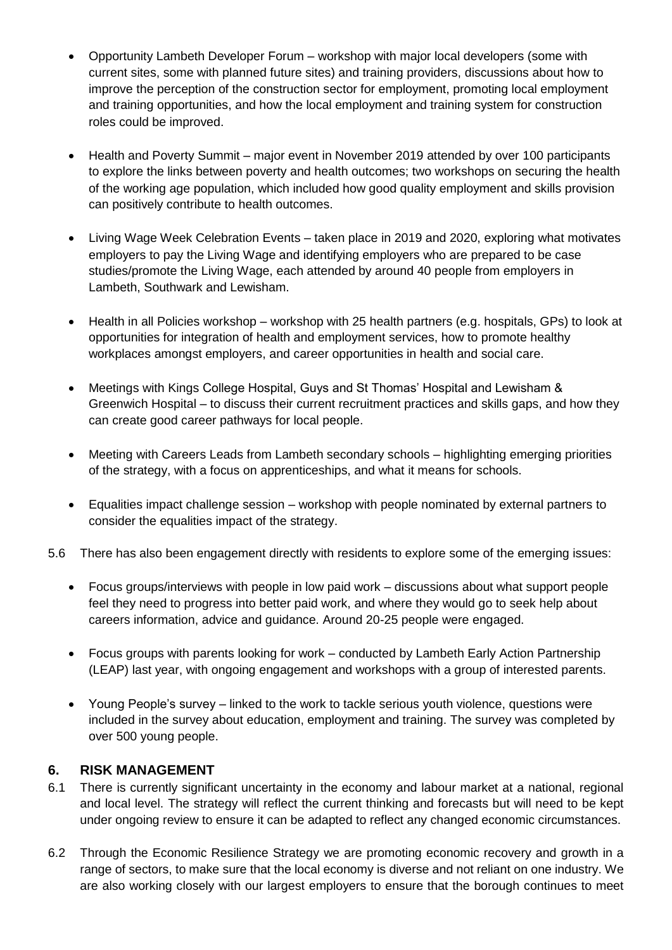- Opportunity Lambeth Developer Forum workshop with major local developers (some with current sites, some with planned future sites) and training providers, discussions about how to improve the perception of the construction sector for employment, promoting local employment and training opportunities, and how the local employment and training system for construction roles could be improved.
- Health and Poverty Summit major event in November 2019 attended by over 100 participants to explore the links between poverty and health outcomes; two workshops on securing the health of the working age population, which included how good quality employment and skills provision can positively contribute to health outcomes.
- Living Wage Week Celebration Events taken place in 2019 and 2020, exploring what motivates employers to pay the Living Wage and identifying employers who are prepared to be case studies/promote the Living Wage, each attended by around 40 people from employers in Lambeth, Southwark and Lewisham.
- Health in all Policies workshop workshop with 25 health partners (e.g. hospitals, GPs) to look at opportunities for integration of health and employment services, how to promote healthy workplaces amongst employers, and career opportunities in health and social care.
- Meetings with Kings College Hospital, Guys and St Thomas' Hospital and Lewisham & Greenwich Hospital – to discuss their current recruitment practices and skills gaps, and how they can create good career pathways for local people.
- Meeting with Careers Leads from Lambeth secondary schools highlighting emerging priorities of the strategy, with a focus on apprenticeships, and what it means for schools.
- Equalities impact challenge session workshop with people nominated by external partners to consider the equalities impact of the strategy.
- 5.6 There has also been engagement directly with residents to explore some of the emerging issues:
	- Focus groups/interviews with people in low paid work discussions about what support people feel they need to progress into better paid work, and where they would go to seek help about careers information, advice and guidance. Around 20-25 people were engaged.
	- Focus groups with parents looking for work conducted by Lambeth Early Action Partnership (LEAP) last year, with ongoing engagement and workshops with a group of interested parents.
	- Young People's survey linked to the work to tackle serious youth violence, questions were included in the survey about education, employment and training. The survey was completed by over 500 young people.

### **6. RISK MANAGEMENT**

- 6.1 There is currently significant uncertainty in the economy and labour market at a national, regional and local level. The strategy will reflect the current thinking and forecasts but will need to be kept under ongoing review to ensure it can be adapted to reflect any changed economic circumstances.
- 6.2 Through the Economic Resilience Strategy we are promoting economic recovery and growth in a range of sectors, to make sure that the local economy is diverse and not reliant on one industry. We are also working closely with our largest employers to ensure that the borough continues to meet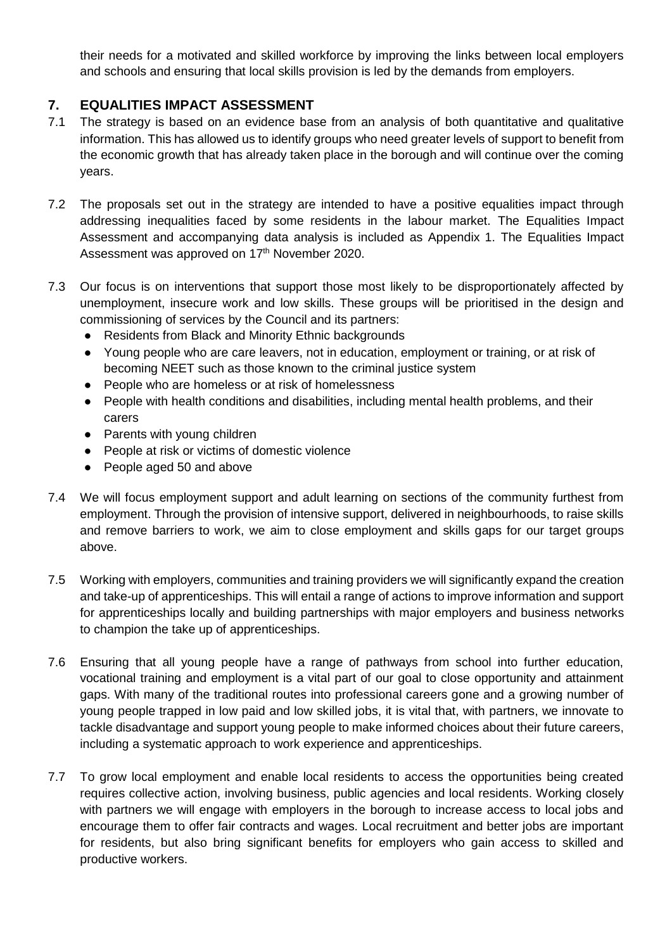their needs for a motivated and skilled workforce by improving the links between local employers and schools and ensuring that local skills provision is led by the demands from employers.

### **7. EQUALITIES IMPACT ASSESSMENT**

- 7.1 The strategy is based on an evidence base from an analysis of both quantitative and qualitative information. This has allowed us to identify groups who need greater levels of support to benefit from the economic growth that has already taken place in the borough and will continue over the coming years.
- 7.2 The proposals set out in the strategy are intended to have a positive equalities impact through addressing inequalities faced by some residents in the labour market. The Equalities Impact Assessment and accompanying data analysis is included as Appendix 1. The Equalities Impact Assessment was approved on 17<sup>th</sup> November 2020.
- 7.3 Our focus is on interventions that support those most likely to be disproportionately affected by unemployment, insecure work and low skills. These groups will be prioritised in the design and commissioning of services by the Council and its partners:
	- Residents from Black and Minority Ethnic backgrounds
	- Young people who are care leavers, not in education, employment or training, or at risk of becoming NEET such as those known to the criminal justice system
	- People who are homeless or at risk of homelessness
	- People with health conditions and disabilities, including mental health problems, and their carers
	- Parents with young children
	- People at risk or victims of domestic violence
	- People aged 50 and above
- 7.4 We will focus employment support and adult learning on sections of the community furthest from employment. Through the provision of intensive support, delivered in neighbourhoods, to raise skills and remove barriers to work, we aim to close employment and skills gaps for our target groups above.
- 7.5 Working with employers, communities and training providers we will significantly expand the creation and take-up of apprenticeships. This will entail a range of actions to improve information and support for apprenticeships locally and building partnerships with major employers and business networks to champion the take up of apprenticeships.
- 7.6 Ensuring that all young people have a range of pathways from school into further education, vocational training and employment is a vital part of our goal to close opportunity and attainment gaps. With many of the traditional routes into professional careers gone and a growing number of young people trapped in low paid and low skilled jobs, it is vital that, with partners, we innovate to tackle disadvantage and support young people to make informed choices about their future careers, including a systematic approach to work experience and apprenticeships.
- 7.7 To grow local employment and enable local residents to access the opportunities being created requires collective action, involving business, public agencies and local residents. Working closely with partners we will engage with employers in the borough to increase access to local jobs and encourage them to offer fair contracts and wages. Local recruitment and better jobs are important for residents, but also bring significant benefits for employers who gain access to skilled and productive workers.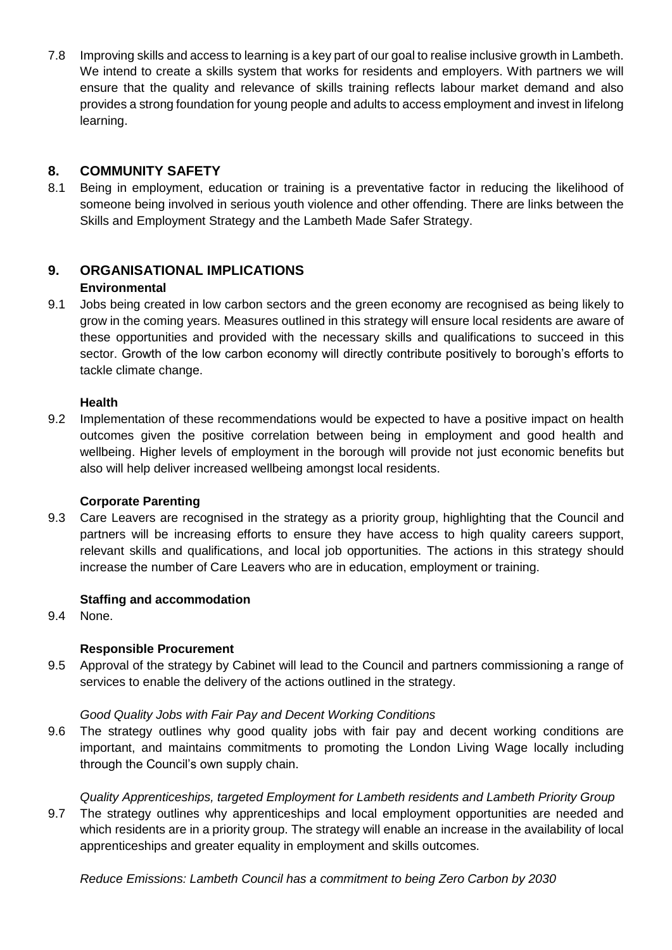7.8 Improving skills and access to learning is a key part of our goal to realise inclusive growth in Lambeth. We intend to create a skills system that works for residents and employers. With partners we will ensure that the quality and relevance of skills training reflects labour market demand and also provides a strong foundation for young people and adults to access employment and invest in lifelong learning.

### **8. COMMUNITY SAFETY**

8.1 Being in employment, education or training is a preventative factor in reducing the likelihood of someone being involved in serious youth violence and other offending. There are links between the Skills and Employment Strategy and the Lambeth Made Safer Strategy.

#### **9. ORGANISATIONAL IMPLICATIONS Environmental**

9.1 Jobs being created in low carbon sectors and the green economy are recognised as being likely to grow in the coming years. Measures outlined in this strategy will ensure local residents are aware of these opportunities and provided with the necessary skills and qualifications to succeed in this sector. Growth of the low carbon economy will directly contribute positively to borough's efforts to tackle climate change.

### **Health**

9.2 Implementation of these recommendations would be expected to have a positive impact on health outcomes given the positive correlation between being in employment and good health and wellbeing. Higher levels of employment in the borough will provide not just economic benefits but also will help deliver increased wellbeing amongst local residents.

#### **Corporate Parenting**

9.3 Care Leavers are recognised in the strategy as a priority group, highlighting that the Council and partners will be increasing efforts to ensure they have access to high quality careers support, relevant skills and qualifications, and local job opportunities. The actions in this strategy should increase the number of Care Leavers who are in education, employment or training.

### **Staffing and accommodation**

9.4 None.

### **Responsible Procurement**

9.5 Approval of the strategy by Cabinet will lead to the Council and partners commissioning a range of services to enable the delivery of the actions outlined in the strategy.

### *Good Quality Jobs with Fair Pay and Decent Working Conditions*

9.6 The strategy outlines why good quality jobs with fair pay and decent working conditions are important, and maintains commitments to promoting the London Living Wage locally including through the Council's own supply chain.

### *Quality Apprenticeships, targeted Employment for Lambeth residents and Lambeth Priority Group*

9.7 The strategy outlines why apprenticeships and local employment opportunities are needed and which residents are in a priority group. The strategy will enable an increase in the availability of local apprenticeships and greater equality in employment and skills outcomes.

*Reduce Emissions: Lambeth Council has a commitment to being Zero Carbon by 2030*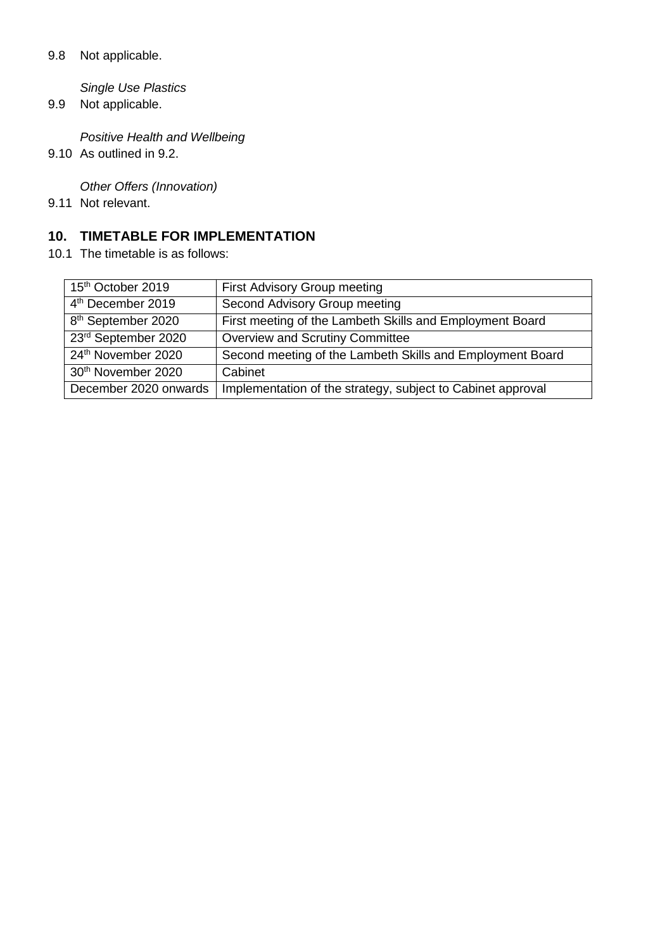#### 9.8 Not applicable.

*Single Use Plastics* 

9.9 Not applicable.

*Positive Health and Wellbeing* 

9.10 As outlined in 9.2.

*Other Offers (Innovation)* 

9.11 Not relevant.

### **10. TIMETABLE FOR IMPLEMENTATION**

10.1 The timetable is as follows:

| 15 <sup>th</sup> October 2019  | First Advisory Group meeting                                |  |
|--------------------------------|-------------------------------------------------------------|--|
| 4 <sup>th</sup> December 2019  | Second Advisory Group meeting                               |  |
| 8 <sup>th</sup> September 2020 | First meeting of the Lambeth Skills and Employment Board    |  |
| 23rd September 2020            | <b>Overview and Scrutiny Committee</b>                      |  |
| 24th November 2020             | Second meeting of the Lambeth Skills and Employment Board   |  |
| 30 <sup>th</sup> November 2020 | Cabinet                                                     |  |
| December 2020 onwards          | Implementation of the strategy, subject to Cabinet approval |  |